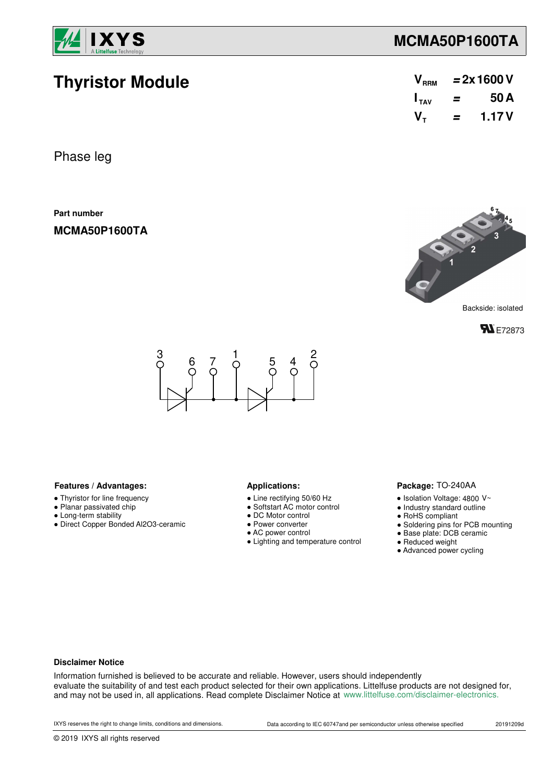

**Thyristor Module**

# **MCMA50P1600TA**

| V <sub>RRM</sub> | $= 2x 1600 V$ |       |  |  |  |
|------------------|---------------|-------|--|--|--|
| $I_{TAV}$        | =             | 50A   |  |  |  |
| $V_{\tau}$       | =             | 1.17V |  |  |  |

Phase leg

**Part number**

**MCMA50P1600TA**



**FN** E72873



### Features / Advantages: **All Applications: Applications:**

- Thyristor for line frequency
- Planar passivated chip
- Long-term stability
- Direct Copper Bonded Al2O3-ceramic

- Line rectifying 50/60 Hz
- Softstart AC motor control
- DC Motor control
- Power converter
- AC power control
- Lighting and temperature control

### Package: TO-240AA

- $\bullet$  Isolation Voltage: 4800 V~
- Industry standard outline
- RoHS compliant
- Soldering pins for PCB mounting
- Base plate: DCB ceramic
- Reduced weight
- Advanced power cycling

#### **Disclaimer Notice**

Information furnished is believed to be accurate and reliable. However, users should independently evaluate the suitability of and test each product selected for their own applications. Littelfuse products are not designed for, and may not be used in, all applications. Read complete Disclaimer Notice at www.littelfuse.com/disclaimer-electronics.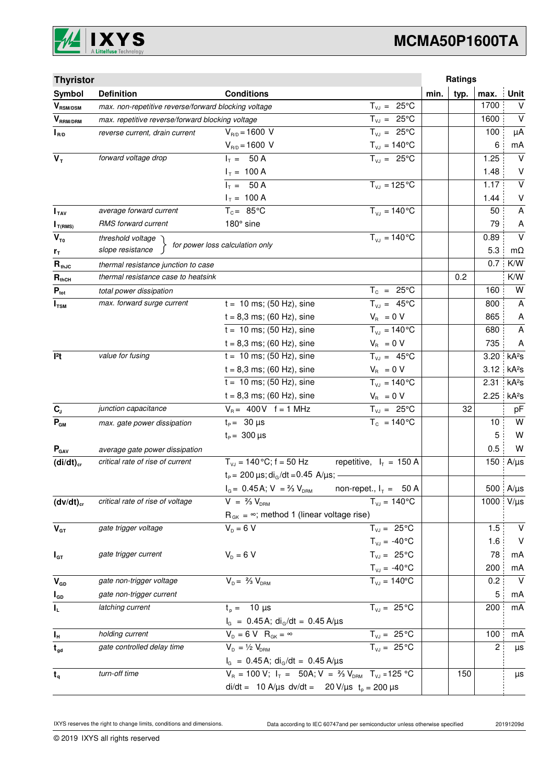

# **MCMA50P1600TA**

| <b>Thyristor</b>                        |                                                      |                                                                                  |                                |      | Ratings |      |                   |
|-----------------------------------------|------------------------------------------------------|----------------------------------------------------------------------------------|--------------------------------|------|---------|------|-------------------|
| Symbol                                  | <b>Definition</b>                                    | <b>Conditions</b>                                                                |                                | min. | typ.    | max. | Unit              |
| $\bm{V}_{\text{RSM/DSM}}$               | max. non-repetitive reverse/forward blocking voltage |                                                                                  | $T_{VJ} = 25^{\circ}C$         |      |         | 1700 | V                 |
| $V_{\scriptscriptstyle \text{RRM/DRM}}$ | max. repetitive reverse/forward blocking voltage     |                                                                                  | $T_{VJ} = 25^{\circ}C$         |      |         | 1600 | $\vee$            |
| $I_{R/D}$                               | reverse current, drain current                       | $V_{B/D} = 1600 V$                                                               | $T_{VJ} = 25^{\circ}C$         |      |         | 100  | μA                |
|                                         |                                                      | $V_{R/D} = 1600 V$                                                               | $T_{\text{vJ}} = 140^{\circ}C$ |      |         | 6    | mA                |
| $V_T$                                   | forward voltage drop                                 | $I_T = 50 A$                                                                     | $T_{\nu J} = 25^{\circ}C$      |      |         | 1.25 | $\vee$            |
|                                         |                                                      | $I_T = 100 A$                                                                    |                                |      |         | 1.48 | V                 |
|                                         |                                                      | $I_T = 50 A$                                                                     | $T_{VJ} = 125$ °C              |      |         | 1.17 | $\vee$            |
|                                         |                                                      | $I_T = 100 A$                                                                    |                                |      |         | 1.44 | $\vee$            |
| I <sub>TAV</sub>                        | average forward current                              | $T_c = 85^{\circ}$ C                                                             | $T_{V1} = 140^{\circ}C$        |      |         | 50   | A                 |
| $I_{T(RMS)}$                            | RMS forward current                                  | 180° sine                                                                        |                                |      |         | 79   | A                 |
| $V_{\tau_0}$                            | threshold voltage                                    | for power loss calculation only                                                  | $T_{V,I} = 140^{\circ}C$       |      |         | 0.89 | $\vee$            |
| $r_{\tau}$                              | slope resistance                                     |                                                                                  |                                |      |         | 5.3  | $m\Omega$         |
| $\mathbf{R}_{\text{thJC}}$              | thermal resistance junction to case                  |                                                                                  |                                |      |         | 0.7  | K/W               |
| $R_{thCH}$                              | thermal resistance case to heatsink                  |                                                                                  |                                |      | 0.2     |      | K/W               |
| $P_{\text{tot}}$                        | total power dissipation                              |                                                                                  | $T_c = 25^{\circ}C$            |      |         | 160  | W                 |
| $I_{TSM}$                               | max. forward surge current                           | $t = 10$ ms; (50 Hz), sine                                                       | $T_{VJ} = 45^{\circ}C$         |      |         | 800  | A                 |
|                                         |                                                      | $t = 8,3$ ms; (60 Hz), sine                                                      | $V_{\rm R} = 0 V$              |      |         | 865  | A                 |
|                                         |                                                      | $t = 10$ ms; (50 Hz), sine                                                       | $\overline{T_{vJ}}$ = 140°C    |      |         | 680  | $\overline{A}$    |
|                                         |                                                      | $t = 8,3$ ms; (60 Hz), sine                                                      | $V_{B} = 0 V$                  |      |         | 735  | A                 |
| 12t                                     | value for fusing                                     | $t = 10$ ms; (50 Hz), sine                                                       | $T_{VJ} = 45^{\circ}C$         |      |         | 3.20 | kA <sup>2</sup> S |
|                                         |                                                      | $t = 8,3$ ms; (60 Hz), sine                                                      | $V_{\rm R} = 0 V$              |      |         | 3.12 | kA <sup>2</sup> s |
|                                         |                                                      | $t = 10$ ms; (50 Hz), sine                                                       | $T_{VJ} = 140^{\circ}C$        |      |         | 2.31 | kA <sup>2</sup> S |
|                                         |                                                      | $t = 8,3$ ms; (60 Hz), sine                                                      | $V_{\rm R} = 0 V$              |      |         | 2.25 | kA <sup>2</sup> S |
| $C_{J}$                                 | junction capacitance                                 | $V_B = 400V$ f = 1 MHz                                                           | $T_{VJ} = 25^{\circ}C$         |      | 32      |      | pF                |
| $P_{GM}$                                | max. gate power dissipation                          | $t_P = 30 \mu s$                                                                 | $T_c = 140^{\circ}$ C          |      |         | 10   | W                 |
|                                         |                                                      | $t_{\rm p} = 300 \,\mu s$                                                        |                                |      |         | 5    | W                 |
| $P_{\text{GAV}}$                        | average gate power dissipation                       |                                                                                  |                                |      |         | 0.5  | W                 |
| $(di/dt)_{cr}$                          | critical rate of rise of current                     | $T_{VJ}$ = 140 °C; f = 50 Hz                                                     | repetitive, $I_T = 150 A$      |      |         | 150  | $A/\mu s$         |
|                                         |                                                      | $t_P$ = 200 $\mu$ s; di <sub>G</sub> /dt = 0.45 A/ $\mu$ s; -                    |                                |      |         |      |                   |
|                                         |                                                      | $I_G = 0.45$ A; $V = \frac{2}{3} V_{DRM}$ non-repet., $I_T = 50$ A               |                                |      |         |      | 500 $A/\mu s$     |
| $(dv/dt)_{cr}$                          | critical rate of rise of voltage                     | $V = \frac{2}{3} V_{DBM}$                                                        | $T_{VJ} = 140^{\circ}C$        |      |         | 1000 | $V/\mu s$         |
|                                         |                                                      | $R_{GK} = \infty$ ; method 1 (linear voltage rise)                               |                                |      |         |      |                   |
| $V_{GT}$                                | gate trigger voltage                                 | $V_p = 6 V$                                                                      | $T_{VJ} = 25^{\circ}C$         |      |         | 1.5  | $\vee$            |
|                                         |                                                      |                                                                                  | $T_{VJ} = -40$ °C              |      |         | 1.6  | $\vee$            |
| $I_{GT}$                                | gate trigger current                                 | $V_{D} = 6 V$                                                                    | $T_{VJ} = 25^{\circ}C$         |      |         | 78   | mA                |
|                                         |                                                      |                                                                                  | $T_{\text{VJ}} = -40^{\circ}C$ |      |         | 200  | mA                |
| $V_{GD}$                                | gate non-trigger voltage                             | $V_{D} = \frac{2}{3} V_{DBM}$                                                    | $T_{VJ} = 140^{\circ}$ C       |      |         | 0.2  | $\vee$            |
| $I_{GD}$                                | gate non-trigger current                             |                                                                                  |                                |      |         | 5    | mA                |
| IL.                                     | latching current                                     | $t_{p} = 10 \mu s$                                                               | $T_{VJ} = 25^{\circ}C$         |      |         | 200  | mA                |
|                                         |                                                      | $I_G = 0.45 A$ ; di <sub>G</sub> /dt = 0.45 A/µs                                 |                                |      |         |      |                   |
| $I_{\rm H}$                             | holding current                                      | $V_{D} = 6 V R_{GK} = \infty$                                                    | $T_{VJ} = 25^{\circ}C$         |      |         | 100  | mA                |
| $t_{gd}$                                | gate controlled delay time                           | $V_{D} = \frac{1}{2} V_{DBM}$                                                    | $T_{VJ} = 25^{\circ}C$         |      |         | 2    | μs                |
|                                         |                                                      | $I_G = 0.45$ A; di <sub>G</sub> /dt = 0.45 A/µs                                  |                                |      |         |      |                   |
| $t_q$                                   | turn-off time                                        | $V_R = 100 V$ ; $I_T = 50A$ ; $V = \frac{2}{3} V_{DRM}$ T <sub>VJ</sub> = 125 °C |                                |      | 150     |      | μs                |
|                                         | di/dt = 10 A/µs dv/dt = 20 V/µs $t_p = 200 \mu s$    |                                                                                  |                                |      |         |      |                   |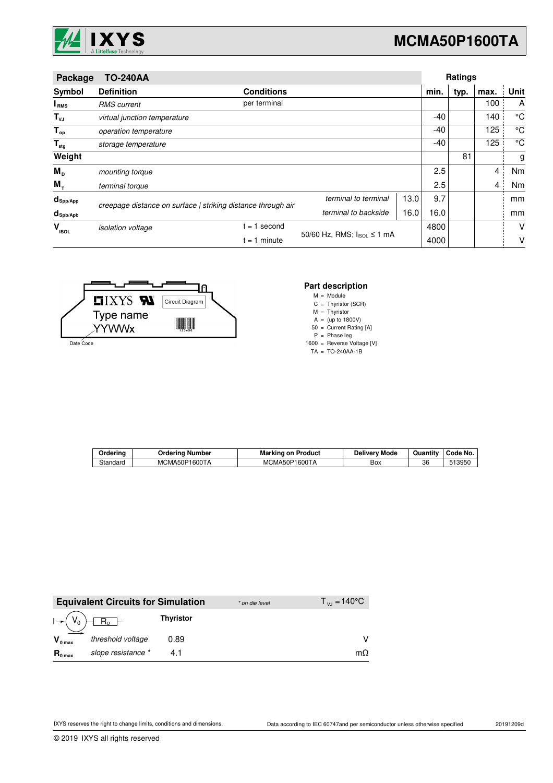

| Package                     | <b>TO-240AA</b>              |                                                              |                                           |      |       | <b>Ratings</b> |      |      |
|-----------------------------|------------------------------|--------------------------------------------------------------|-------------------------------------------|------|-------|----------------|------|------|
| Symbol                      | <b>Definition</b>            | <b>Conditions</b>                                            |                                           |      | min.  | typ.           | max. | Unit |
| I <sub>RMS</sub>            | <b>RMS</b> current           | per terminal                                                 |                                           |      |       |                | 100  | A    |
| $T_{\nu J}$                 | virtual junction temperature |                                                              |                                           |      | $-40$ |                | 140  | °C   |
| $T_{op}$                    | operation temperature        |                                                              |                                           |      | $-40$ |                | 125  | °C   |
| $\mathsf{T}_{\mathsf{stg}}$ | storage temperature          |                                                              |                                           |      | $-40$ |                | 125  | °C   |
| Weight                      |                              |                                                              |                                           |      |       | 81             |      | g    |
| $M_{\text{D}}$              | mounting torque              |                                                              |                                           |      | 2.5   |                | 4    | Nm   |
| $M_{\tau}$                  | terminal torque              |                                                              |                                           |      | 2.5   |                | 4    | Nm   |
| $d_{\mathsf{Spp/App}}$      |                              | creepage distance on surface   striking distance through air | terminal to terminal                      | 13.0 | 9.7   |                |      | mm   |
| $d_{\text{Spb/Apb}}$        |                              |                                                              | terminal to backside                      | 16.0 | 16.0  |                |      | mm   |
| $V_{\rm ISOL}$              | isolation voltage            | $= 1$ second                                                 |                                           |      | 4800  |                |      | V    |
|                             | $= 1$ minute                 |                                                              | 50/60 Hz, RMS; $ _{\text{ISOL}} \le 1$ mA |      | 4000  |                |      | ٧    |



## **Part description**

M = Module

C Thyristor (SCR) =

M A Thyristor (up to 1800V) = =

50 = Current Rating [A]

P Phase leg =

1600 = Reverse Voltage [V]

TA TO-240AA-1B =

| Orderino | . Number<br>Orderina | Product<br>Marking<br>. on                  | --<br>' Mode<br>Delivery | $ -$<br>Quantity | Code No. |
|----------|----------------------|---------------------------------------------|--------------------------|------------------|----------|
| Standard | 1600TA<br>MCMA50P    | MCMA50P <sup>-</sup><br><sup>ን</sup> 1600TA | Box                      | 36               | 13950    |

|                     | <b>Equivalent Circuits for Simulation</b> |                  | * on die level | $T_{\rm{v}} = 140^{\circ}$ C |
|---------------------|-------------------------------------------|------------------|----------------|------------------------------|
|                     | $I - (V_0) - R_0$                         | <b>Thyristor</b> |                |                              |
| $V_{0 \text{ max}}$ | threshold voltage                         | 0.89             |                |                              |
| $R_{0 \text{ max}}$ | slope resistance *                        |                  |                | $m\Omega$                    |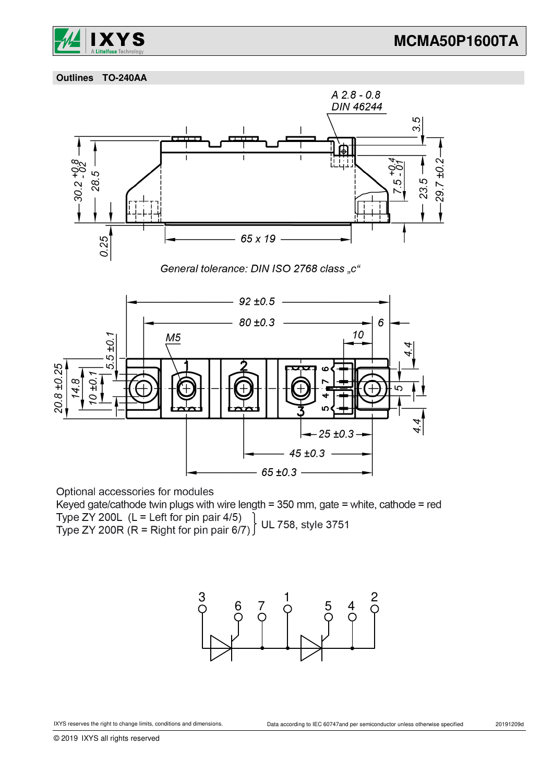

 **Outlines TO-240AA**



Optional accessories for modules

Keyed gate/cathode twin plugs with wire length = 350 mm, gate = white, cathode = red Type ZY 200L (L = Left for pin pair 4/5)<br>Type ZY 200L (L = Left for pin pair 4/5) UL 758, style 3751